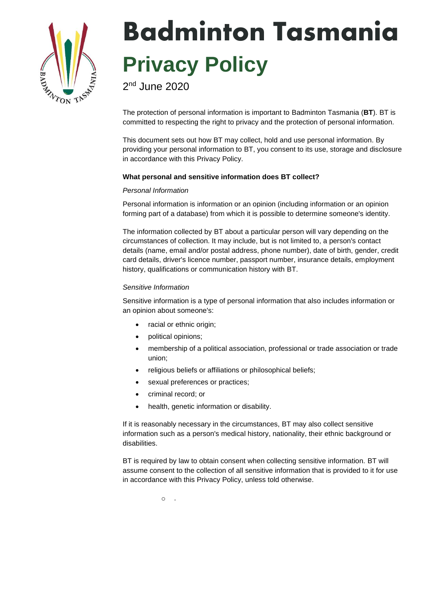

# Badminton Tasmania **Privacy Policy**

2<sup>nd</sup> June 2020

The protection of personal information is important to Badminton Tasmania (**BT**). BT is committed to respecting the right to privacy and the protection of personal information.

This document sets out how BT may collect, hold and use personal information. By providing your personal information to BT, you consent to its use, storage and disclosure in accordance with this Privacy Policy.

# **What personal and sensitive information does BT collect?**

## *Personal Information*

Personal information is information or an opinion (including information or an opinion forming part of a database) from which it is possible to determine someone's identity.

The information collected by BT about a particular person will vary depending on the circumstances of collection. It may include, but is not limited to, a person's contact details (name, email and/or postal address, phone number), date of birth, gender, credit card details, driver's licence number, passport number, insurance details, employment history, qualifications or communication history with BT.

# *Sensitive Information*

Sensitive information is a type of personal information that also includes information or an opinion about someone's:

- racial or ethnic origin;
- political opinions;
- membership of a political association, professional or trade association or trade union;
- religious beliefs or affiliations or philosophical beliefs;
- sexual preferences or practices;
- criminal record; or
- health, genetic information or disability.

If it is reasonably necessary in the circumstances, BT may also collect sensitive information such as a person's medical history, nationality, their ethnic background or disabilities.

BT is required by law to obtain consent when collecting sensitive information. BT will assume consent to the collection of all sensitive information that is provided to it for use in accordance with this Privacy Policy, unless told otherwise.

 $\Omega$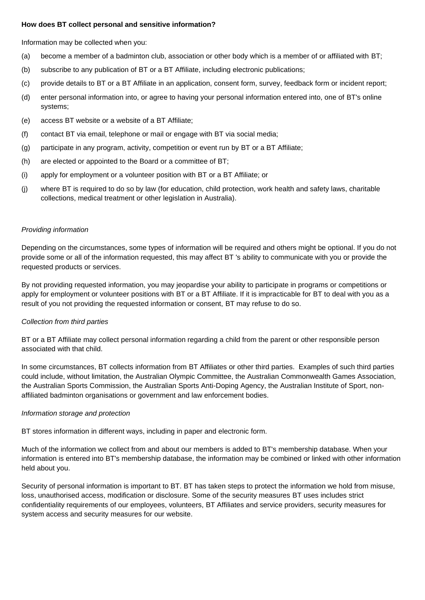#### **How does BT collect personal and sensitive information?**

Information may be collected when you:

- (a) become a member of a badminton club, association or other body which is a member of or affiliated with BT;
- (b) subscribe to any publication of BT or a BT Affiliate, including electronic publications;
- (c) provide details to BT or a BT Affiliate in an application, consent form, survey, feedback form or incident report;
- (d) enter personal information into, or agree to having your personal information entered into, one of BT's online systems;
- (e) access BT website or a website of a BT Affiliate;
- (f) contact BT via email, telephone or mail or engage with BT via social media;
- (g) participate in any program, activity, competition or event run by BT or a BT Affiliate;
- (h) are elected or appointed to the Board or a committee of BT;
- (i) apply for employment or a volunteer position with BT or a BT Affiliate; or
- (j) where BT is required to do so by law (for education, child protection, work health and safety laws, charitable collections, medical treatment or other legislation in Australia).

# *Providing information*

Depending on the circumstances, some types of information will be required and others might be optional. If you do not provide some or all of the information requested, this may affect BT 's ability to communicate with you or provide the requested products or services.

By not providing requested information, you may jeopardise your ability to participate in programs or competitions or apply for employment or volunteer positions with BT or a BT Affiliate. If it is impracticable for BT to deal with you as a result of you not providing the requested information or consent, BT may refuse to do so.

# *Collection from third parties*

BT or a BT Affiliate may collect personal information regarding a child from the parent or other responsible person associated with that child.

In some circumstances, BT collects information from BT Affiliates or other third parties. Examples of such third parties could include, without limitation, the Australian Olympic Committee, the Australian Commonwealth Games Association, the Australian Sports Commission, the Australian Sports Anti-Doping Agency, the Australian Institute of Sport, nonaffiliated badminton organisations or government and law enforcement bodies.

## *Information storage and protection*

BT stores information in different ways, including in paper and electronic form.

Much of the information we collect from and about our members is added to BT's membership database. When your information is entered into BT's membership database, the information may be combined or linked with other information held about you.

Security of personal information is important to BT. BT has taken steps to protect the information we hold from misuse, loss, unauthorised access, modification or disclosure. Some of the security measures BT uses includes strict confidentiality requirements of our employees, volunteers, BT Affiliates and service providers, security measures for system access and security measures for our website.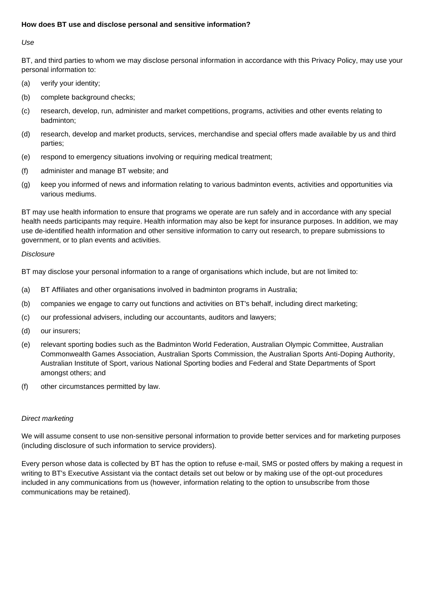## **How does BT use and disclose personal and sensitive information?**

*Use*

BT, and third parties to whom we may disclose personal information in accordance with this Privacy Policy, may use your personal information to:

- (a) verify your identity;
- (b) complete background checks;
- (c) research, develop, run, administer and market competitions, programs, activities and other events relating to badminton;
- (d) research, develop and market products, services, merchandise and special offers made available by us and third parties;
- (e) respond to emergency situations involving or requiring medical treatment;
- (f) administer and manage BT website; and
- (g) keep you informed of news and information relating to various badminton events, activities and opportunities via various mediums.

BT may use health information to ensure that programs we operate are run safely and in accordance with any special health needs participants may require. Health information may also be kept for insurance purposes. In addition, we may use de-identified health information and other sensitive information to carry out research, to prepare submissions to government, or to plan events and activities.

#### *Disclosure*

BT may disclose your personal information to a range of organisations which include, but are not limited to:

- (a) BT Affiliates and other organisations involved in badminton programs in Australia;
- (b) companies we engage to carry out functions and activities on BT's behalf, including direct marketing;
- (c) our professional advisers, including our accountants, auditors and lawyers;
- (d) our insurers;
- (e) relevant sporting bodies such as the Badminton World Federation, Australian Olympic Committee, Australian Commonwealth Games Association, Australian Sports Commission, the Australian Sports Anti-Doping Authority, Australian Institute of Sport, various National Sporting bodies and Federal and State Departments of Sport amongst others; and
- (f) other circumstances permitted by law.

## *Direct marketing*

We will assume consent to use non-sensitive personal information to provide better services and for marketing purposes (including disclosure of such information to service providers).

Every person whose data is collected by BT has the option to refuse e-mail, SMS or posted offers by making a request in writing to BT's Executive Assistant via the contact details set out below or by making use of the opt-out procedures included in any communications from us (however, information relating to the option to unsubscribe from those communications may be retained).